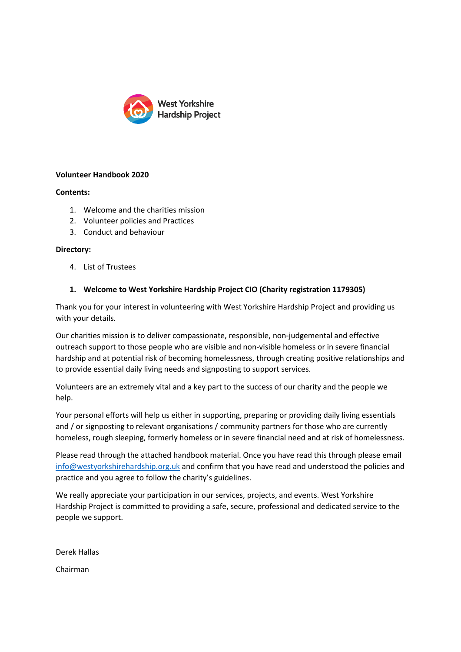

# **Volunteer Handbook 2020**

# **Contents:**

- 1. Welcome and the charities mission
- 2. Volunteer policies and Practices
- 3. Conduct and behaviour

### **Directory:**

4. List of Trustees

# **1. Welcome to West Yorkshire Hardship Project CIO (Charity registration 1179305)**

Thank you for your interest in volunteering with West Yorkshire Hardship Project and providing us with your details.

Our charities mission is to deliver compassionate, responsible, non-judgemental and effective outreach support to those people who are visible and non-visible homeless or in severe financial hardship and at potential risk of becoming homelessness, through creating positive relationships and to provide essential daily living needs and signposting to support services.

Volunteers are an extremely vital and a key part to the success of our charity and the people we help.

Your personal efforts will help us either in supporting, preparing or providing daily living essentials and / or signposting to relevant organisations / community partners for those who are currently homeless, rough sleeping, formerly homeless or in severe financial need and at risk of homelessness.

Please read through the attached handbook material. Once you have read this through please email [info@westyorkshirehardship.org.uk](mailto:info@westyorkshirehardship.org.uk) and confirm that you have read and understood the policies and practice and you agree to follow the charity's guidelines.

We really appreciate your participation in our services, projects, and events. West Yorkshire Hardship Project is committed to providing a safe, secure, professional and dedicated service to the people we support.

| Derek Hallas |
|--------------|
| Chairman     |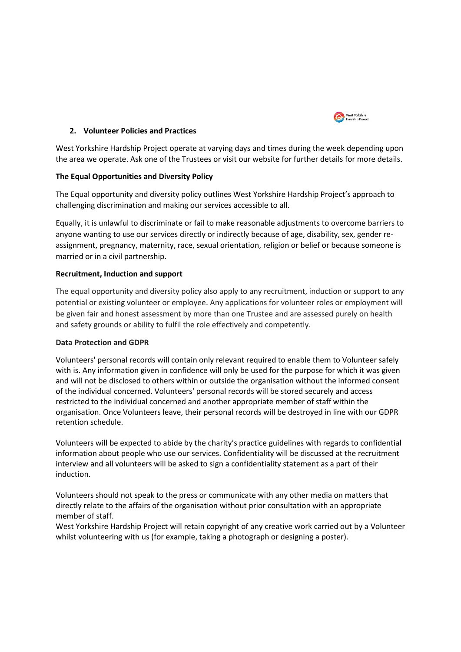

### **2. Volunteer Policies and Practices**

West Yorkshire Hardship Project operate at varying days and times during the week depending upon the area we operate. Ask one of the Trustees or visit our website for further details for more details.

### **The Equal Opportunities and Diversity Policy**

The Equal opportunity and diversity policy outlines West Yorkshire Hardship Project's approach to challenging discrimination and making our services accessible to all.

Equally, it is unlawful to discriminate or fail to make reasonable adjustments to overcome barriers to anyone wanting to use our services directly or indirectly because of age, disability, sex, gender reassignment, pregnancy, maternity, race, sexual orientation, religion or belief or because someone is married or in a civil partnership.

# **Recruitment, Induction and support**

The equal opportunity and diversity policy also apply to any recruitment, induction or support to any potential or existing volunteer or employee. Any applications for volunteer roles or employment will be given fair and honest assessment by more than one Trustee and are assessed purely on health and safety grounds or ability to fulfil the role effectively and competently.

### **Data Protection and GDPR**

Volunteers' personal records will contain only relevant required to enable them to Volunteer safely with is. Any information given in confidence will only be used for the purpose for which it was given and will not be disclosed to others within or outside the organisation without the informed consent of the individual concerned. Volunteers' personal records will be stored securely and access restricted to the individual concerned and another appropriate member of staff within the organisation. Once Volunteers leave, their personal records will be destroyed in line with our GDPR retention schedule.

Volunteers will be expected to abide by the charity's practice guidelines with regards to confidential information about people who use our services. Confidentiality will be discussed at the recruitment interview and all volunteers will be asked to sign a confidentiality statement as a part of their induction.

Volunteers should not speak to the press or communicate with any other media on matters that directly relate to the affairs of the organisation without prior consultation with an appropriate member of staff.

West Yorkshire Hardship Project will retain copyright of any creative work carried out by a Volunteer whilst volunteering with us (for example, taking a photograph or designing a poster).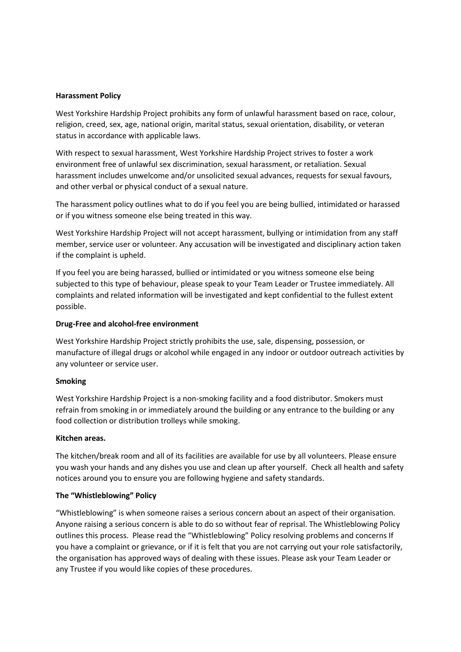#### **Harassment Policy**

West Yorkshire Hardship Project prohibits any form of unlawful harassment based on race, colour, religion, creed, sex, age, national origin, marital status, sexual orientation, disability, or veteran status in accordance with applicable laws.

With respect to sexual harassment, West Yorkshire Hardship Project strives to foster a work environment free of unlawful sex discrimination, sexual harassment, or retaliation. Sexual harassment includes unwelcome and/or unsolicited sexual advances, requests for sexual favours, and other verbal or physical conduct of a sexual nature.

The harassment policy outlines what to do if you feel you are being bullied, intimidated or harassed or if you witness someone else being treated in this way.

West Yorkshire Hardship Project will not accept harassment, bullying or intimidation from any staff member, service user or volunteer. Any accusation will be investigated and disciplinary action taken if the complaint is upheld.

If you feel you are being harassed, bullied or intimidated or you witness someone else being subjected to this type of behaviour, please speak to your Team Leader or Trustee immediately. All complaints and related information will be investigated and kept confidential to the fullest extent possible.

#### **Drug-Free and alcohol-free environment**

West Yorkshire Hardship Project strictly prohibits the use, sale, dispensing, possession, or manufacture of illegal drugs or alcohol while engaged in any indoor or outdoor outreach activities by any volunteer or service user.

### **Smoking**

West Yorkshire Hardship Project is a non-smoking facility and a food distributor. Smokers must refrain from smoking in or immediately around the building or any entrance to the building or any food collection or distribution trolleys while smoking.

#### **Kitchen areas.**

The kitchen/break room and all of its facilities are available for use by all volunteers. Please ensure you wash your hands and any dishes you use and clean up after yourself. Check all health and safety notices around you to ensure you are following hygiene and safety standards.

### **The "Whistleblowing" Policy**

"Whistleblowing" is when someone raises a serious concern about an aspect of their organisation. Anyone raising a serious concern is able to do so without fear of reprisal. The Whistleblowing Policy outlines this process. Please read the "Whistleblowing" Policy resolving problems and concerns If you have a complaint or grievance, or if it is felt that you are not carrying out your role satisfactorily, the organisation has approved ways of dealing with these issues. Please ask your Team Leader or any Trustee if you would like copies of these procedures.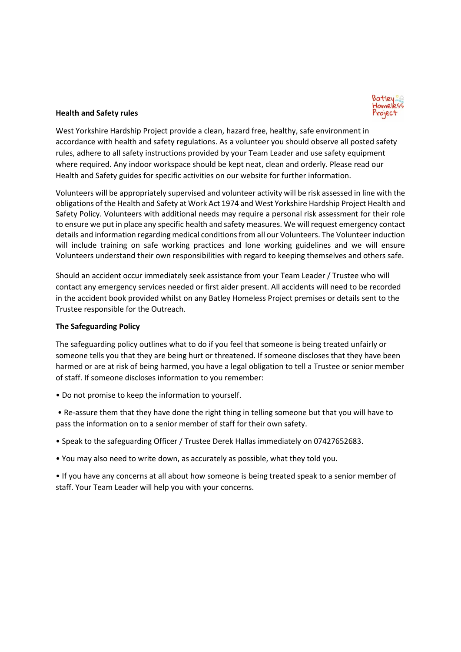

# **Health and Safety rules**

West Yorkshire Hardship Project provide a clean, hazard free, healthy, safe environment in accordance with health and safety regulations. As a volunteer you should observe all posted safety rules, adhere to all safety instructions provided by your Team Leader and use safety equipment where required. Any indoor workspace should be kept neat, clean and orderly. Please read our Health and Safety guides for specific activities on our website for further information.

Volunteers will be appropriately supervised and volunteer activity will be risk assessed in line with the obligations of the Health and Safety at Work Act 1974 and West Yorkshire Hardship Project Health and Safety Policy. Volunteers with additional needs may require a personal risk assessment for their role to ensure we put in place any specific health and safety measures. We will request emergency contact details and information regarding medical conditions from all our Volunteers. The Volunteer induction will include training on safe working practices and lone working guidelines and we will ensure Volunteers understand their own responsibilities with regard to keeping themselves and others safe.

Should an accident occur immediately seek assistance from your Team Leader / Trustee who will contact any emergency services needed or first aider present. All accidents will need to be recorded in the accident book provided whilst on any Batley Homeless Project premises or details sent to the Trustee responsible for the Outreach.

### **The Safeguarding Policy**

The safeguarding policy outlines what to do if you feel that someone is being treated unfairly or someone tells you that they are being hurt or threatened. If someone discloses that they have been harmed or are at risk of being harmed, you have a legal obligation to tell a Trustee or senior member of staff. If someone discloses information to you remember:

• Do not promise to keep the information to yourself.

• Re-assure them that they have done the right thing in telling someone but that you will have to pass the information on to a senior member of staff for their own safety.

- Speak to the safeguarding Officer / Trustee Derek Hallas immediately on 07427652683.
- You may also need to write down, as accurately as possible, what they told you.

• If you have any concerns at all about how someone is being treated speak to a senior member of staff. Your Team Leader will help you with your concerns.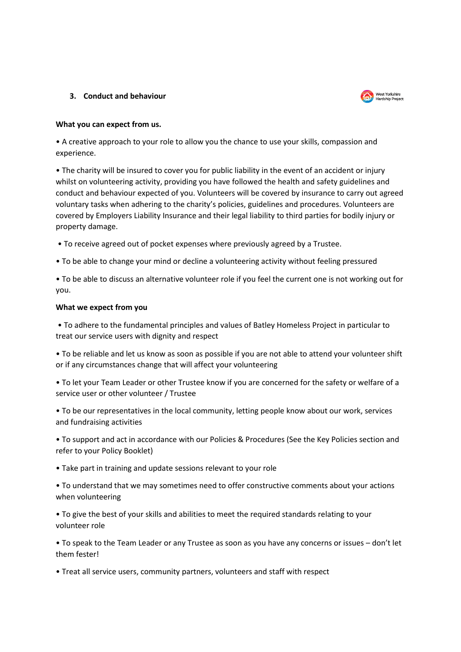### **3. Conduct and behaviour**



### **What you can expect from us.**

• A creative approach to your role to allow you the chance to use your skills, compassion and experience.

• The charity will be insured to cover you for public liability in the event of an accident or injury whilst on volunteering activity, providing you have followed the health and safety guidelines and conduct and behaviour expected of you. Volunteers will be covered by insurance to carry out agreed voluntary tasks when adhering to the charity's policies, guidelines and procedures. Volunteers are covered by Employers Liability Insurance and their legal liability to third parties for bodily injury or property damage.

• To receive agreed out of pocket expenses where previously agreed by a Trustee.

• To be able to change your mind or decline a volunteering activity without feeling pressured

• To be able to discuss an alternative volunteer role if you feel the current one is not working out for you.

### **What we expect from you**

• To adhere to the fundamental principles and values of Batley Homeless Project in particular to treat our service users with dignity and respect

• To be reliable and let us know as soon as possible if you are not able to attend your volunteer shift or if any circumstances change that will affect your volunteering

• To let your Team Leader or other Trustee know if you are concerned for the safety or welfare of a service user or other volunteer / Trustee

• To be our representatives in the local community, letting people know about our work, services and fundraising activities

• To support and act in accordance with our Policies & Procedures (See the Key Policies section and refer to your Policy Booklet)

• Take part in training and update sessions relevant to your role

• To understand that we may sometimes need to offer constructive comments about your actions when volunteering

• To give the best of your skills and abilities to meet the required standards relating to your volunteer role

• To speak to the Team Leader or any Trustee as soon as you have any concerns or issues – don't let them fester!

• Treat all service users, community partners, volunteers and staff with respect